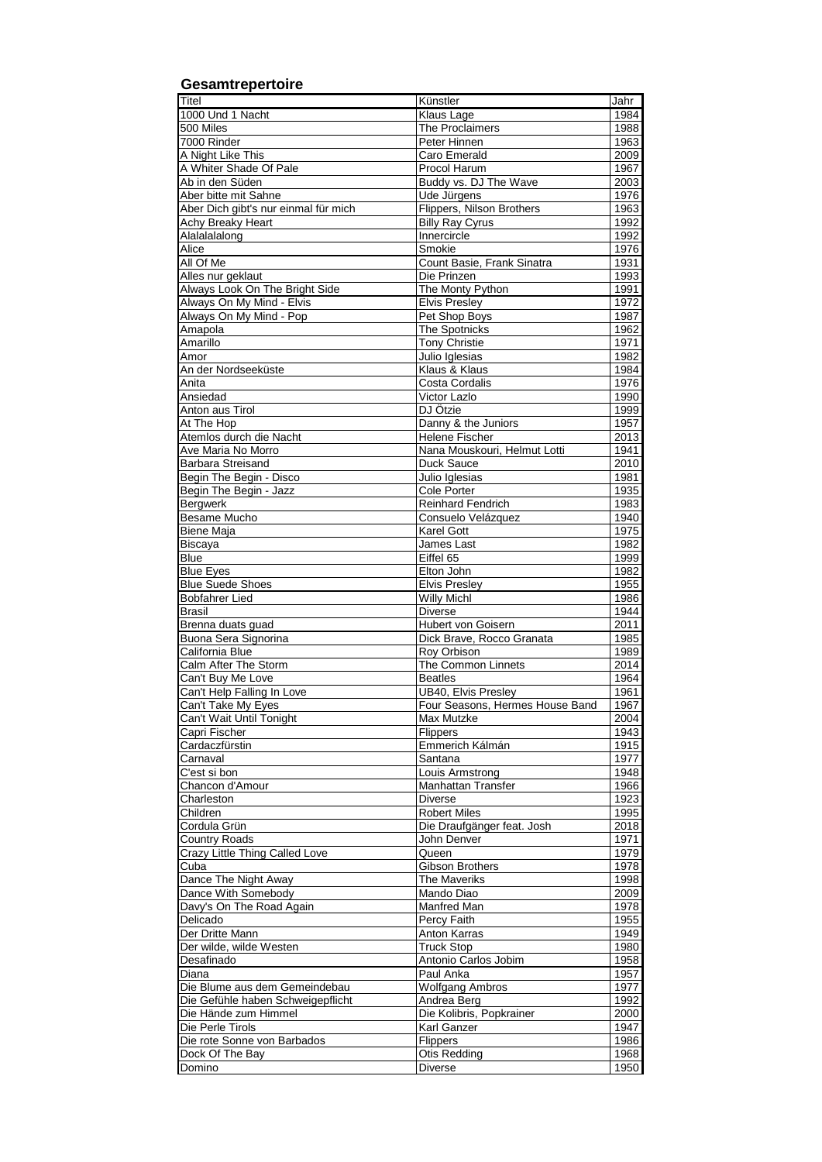| Gesamtrepertoire                                          |                                            |              |
|-----------------------------------------------------------|--------------------------------------------|--------------|
| Titel                                                     | Künstler                                   | Jahr         |
| 1000 Und 1 Nacht                                          | Klaus Lage                                 | 1984         |
| 500 Miles                                                 | The Proclaimers                            | 1988         |
| 7000 Rinder                                               | Peter Hinnen                               | 1963         |
| A Night Like This                                         | Caro Emerald                               | 2009         |
| A Whiter Shade Of Pale                                    | Procol Harum                               | 1967         |
| Ab in den Süden<br>Aber bitte mit Sahne                   | Buddy vs. DJ The Wave<br>Ude Jürgens       | 2003<br>1976 |
| Aber Dich gibt's nur einmal für mich                      | Flippers, Nilson Brothers                  | 1963         |
| <b>Achy Breaky Heart</b>                                  | <b>Billy Ray Cyrus</b>                     | 1992         |
| Alalalalong                                               | Innercircle                                | 1992         |
| Alice                                                     | Smokie                                     | 1976         |
| All Of Me                                                 | Count Basie, Frank Sinatra                 | 1931         |
| Alles nur geklaut                                         | Die Prinzen                                | 1993         |
| Always Look On The Bright Side                            | The Monty Python                           | 1991         |
| Always On My Mind - Elvis                                 | Elvis Presley                              | 1972<br>1987 |
| Always On My Mind - Pop<br>Amapola                        | Pet Shop Boys<br>The Spotnicks             | 1962         |
| Amarillo                                                  | <b>Tony Christie</b>                       | 1971         |
| Amor                                                      | Julio Iglesias                             | 1982         |
| An der Nordseeküste                                       | Klaus & Klaus                              | 1984         |
| Anita                                                     | <b>Costa Cordalis</b>                      | 1976         |
| Ansiedad                                                  | <b>Victor Lazlo</b>                        | 1990         |
| Anton aus Tirol                                           | DJ Ötzie                                   | 1999         |
| At The Hop                                                | Danny & the Juniors                        | 1957         |
| Atemlos durch die Nacht<br>Ave Maria No Morro             | Helene Fischer                             | 2013         |
| Barbara Streisand                                         | Nana Mouskouri, Helmut Lotti<br>Duck Sauce | 1941<br>2010 |
| Begin The Begin - Disco                                   | Julio Iglesias                             | 1981         |
| Begin The Begin - Jazz                                    | Cole Porter                                | 1935         |
| Bergwerk                                                  | Reinhard Fendrich                          | 1983         |
| Besame Mucho                                              | Consuelo Velázquez                         | 1940         |
| <b>Biene Maja</b>                                         | <b>Karel Gott</b>                          | 1975         |
| Biscaya                                                   | James Last                                 | 1982         |
| <b>Blue</b>                                               | Eiffel 65                                  | 1999         |
| <b>Blue Eyes</b>                                          | Elton John                                 | 1982<br>1955 |
| <b>Blue Suede Shoes</b><br><b>Bobfahrer Lied</b>          | Elvis Presley<br><b>Willy Michl</b>        | 1986         |
| Brasil                                                    | <b>Diverse</b>                             | 1944         |
| Brenna duats guad                                         | Hubert von Goisern                         | 2011         |
| Buona Sera Signorina                                      | Dick Brave, Rocco Granata                  | 1985         |
| California Blue                                           | Roy Orbison                                | 1989         |
| Calm After The Storm                                      | The Common Linnets                         | 2014         |
| Can't Buy Me Love                                         | Beatles                                    | 1964         |
| Can't Help Falling In Love                                | UB40, Elvis Presley                        | 1961         |
| Can't Take My Eyes<br>Can't Wait Until Tonight            | Four Seasons, Hermes House Band            | 1967         |
| Capri Fischer                                             | Max Mutzke<br>Flippers                     | 2004<br>1943 |
| Cardaczfürstin                                            | Emmerich Kálmán                            | 1915         |
| Carnaval                                                  | Santana                                    | 1977         |
| C'est si bon                                              | Louis Armstrong                            | 1948         |
| Chancon d'Amour                                           | <b>Manhattan Transfer</b>                  | 1966         |
| Charleston                                                | <b>Diverse</b>                             | 1923         |
| Children                                                  | <b>Robert Miles</b>                        | 1995         |
| Cordula Grün                                              | Die Draufgänger feat. Josh                 | 2018         |
| <b>Country Roads</b><br>Crazy Little Thing Called Love    | John Denver                                | 1971         |
| Cuba                                                      | Queen<br>Gibson Brothers                   | 1979<br>1978 |
| Dance The Night Away                                      | The Maveriks                               | 1998         |
| Dance With Somebody                                       | Mando Diao                                 | 2009         |
| Davy's On The Road Again                                  | Manfred Man                                | 1978         |
| Delicado                                                  | Percy Faith                                | 1955         |
| Der Dritte Mann                                           | Anton Karras                               | 1949         |
| Der wilde, wilde Westen                                   | <b>Truck Stop</b>                          | 1980         |
| Desafinado                                                | Antonio Carlos Jobim                       | 1958         |
| Diana                                                     | Paul Anka                                  | 1957         |
| Die Blume aus dem Gemeindebau                             | <b>Wolfgang Ambros</b>                     | 1977<br>1992 |
| Die Gefühle haben Schweigepflicht<br>Die Hände zum Himmel | Andrea Berg<br>Die Kolibris, Popkrainer    | 2000         |
| Die Perle Tirols                                          | Karl Ganzer                                | 1947         |
| Die rote Sonne von Barbados                               | Flippers                                   | 1986         |
| Dock Of The Bay                                           | <b>Otis Redding</b>                        | 1968         |
| Domino                                                    | <b>Diverse</b>                             | 1950         |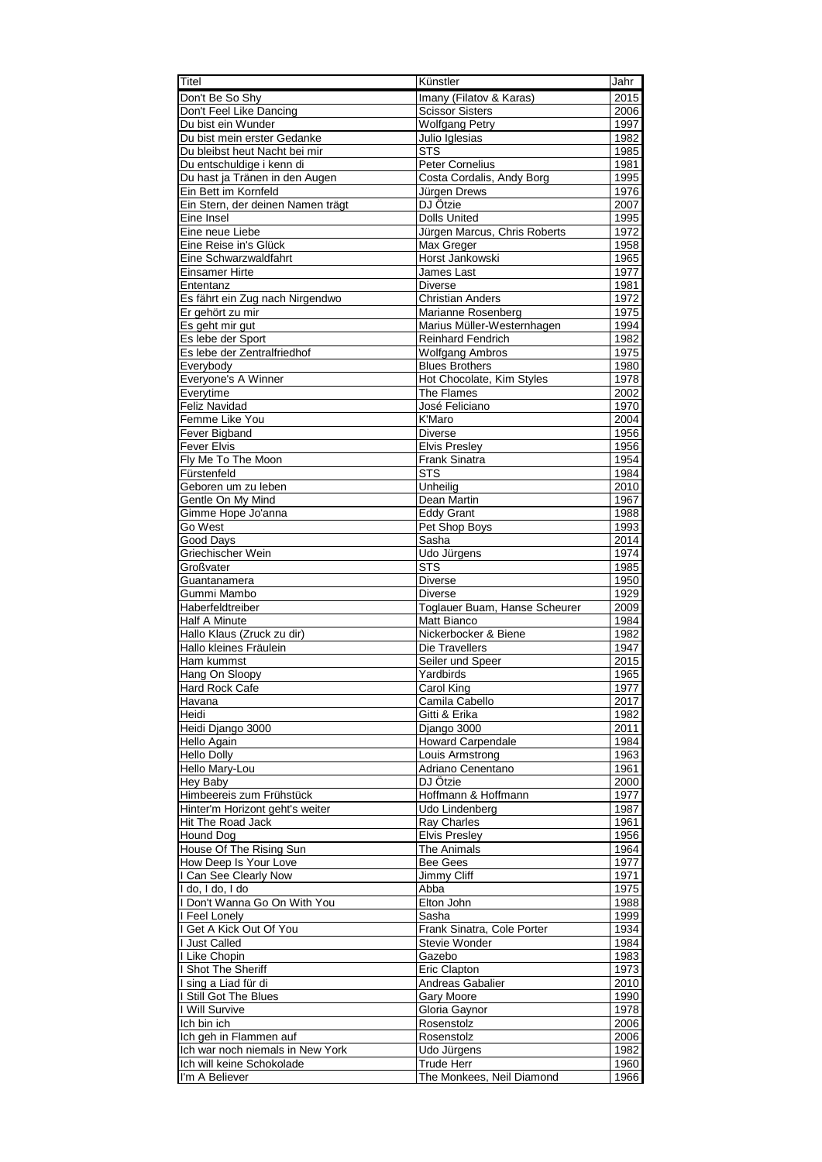| Titel                                                         | Künstler                                     | Jahr                     |
|---------------------------------------------------------------|----------------------------------------------|--------------------------|
| Don't Be So Shy                                               | Imany (Filatov & Karas)                      | 2015                     |
| Don't Feel Like Dancing                                       | <b>Scissor Sisters</b>                       | 2006                     |
| Du bist ein Wunder                                            | <b>Wolfgang Petry</b>                        | 1997                     |
| Du bist mein erster Gedanke<br>Du bleibst heut Nacht bei mir  | Julio Iglesias                               | 1982                     |
| Du entschuldige i kenn di                                     | <b>STS</b><br><b>Peter Cornelius</b>         | 1985<br>1981             |
| Du hast ja Tränen in den Augen                                | Costa Cordalis, Andy Borg                    | 1995                     |
| Ein Bett im Kornfeld                                          | Jürgen Drews                                 | 1976                     |
| Ein Stern, der deinen Namen trägt                             | DJ Ötzie                                     | 2007                     |
| Eine Insel                                                    | <b>Dolls United</b>                          | 1995                     |
| Eine neue Liebe                                               | Jürgen Marcus, Chris Roberts                 | 1972                     |
| Eine Reise in's Glück                                         | Max Greger                                   | 1958                     |
| Eine Schwarzwaldfahrt                                         | Horst Jankowski                              | 1965                     |
| Einsamer Hirte                                                | James Last                                   | 1977                     |
| Ententanz<br>Es fährt ein Zug nach Nirgendwo                  | <b>Diverse</b><br><b>Christian Anders</b>    | 1981<br>1972             |
| Er gehört zu mir                                              | Marianne Rosenberg                           | 1975                     |
| Es geht mir gut                                               | Marius Müller-Westernhagen                   | 1994                     |
| Es lebe der Sport                                             | <b>Reinhard Fendrich</b>                     | 1982                     |
| Es lebe der Zentralfriedhof                                   | <b>Wolfgang Ambros</b>                       | 1975                     |
| Everybody                                                     | <b>Blues Brothers</b>                        | 1980                     |
| Everyone's A Winner                                           | Hot Chocolate, Kim Styles                    | 1978                     |
| Everytime                                                     | The Flames                                   | 2002                     |
| <b>Feliz Navidad</b>                                          | José Feliciano                               | 1970                     |
| Femme Like You                                                | K'Maro                                       | 2004                     |
| Fever Bigband                                                 | <b>Diverse</b>                               | 1956                     |
| <b>Fever Elvis</b><br>Fly Me To The Moon                      | <b>Elvis Presley</b><br>Frank Sinatra        | 1956<br>1954             |
| Fürstenfeld                                                   | <b>STS</b>                                   | 1984                     |
| Geboren um zu leben                                           | Unheilig                                     | 2010                     |
| Gentle On My Mind                                             | Dean Martin                                  | 1967                     |
| Gimme Hope Jo'anna                                            | <b>Eddy Grant</b>                            | 1988                     |
| Go West                                                       | Pet Shop Boys                                | 1993                     |
| Good Days                                                     | Sasha                                        | 2014                     |
| Griechischer Wein                                             | Udo Jürgens                                  | 1974                     |
| Großvater                                                     | <b>STS</b>                                   | 1985                     |
| Guantanamera                                                  | <b>Diverse</b>                               | 1950                     |
| Gummi Mambo                                                   | <b>Diverse</b>                               | 1929                     |
| Haberfeldtreiber<br>Half A Minute                             | Toglauer Buam, Hanse Scheurer<br>Matt Bianco | 2009<br>1984             |
| Hallo Klaus (Zruck zu dir)                                    | Nickerbocker & Biene                         | 1982                     |
| Hallo kleines Fräulein                                        | Die Travellers                               | 1947                     |
| Ham kummst                                                    | Seiler und Speer                             | 2015                     |
| Hang On Sloopy                                                | Yardbirds                                    | 1965                     |
| Hard Rock Cafe                                                | Carol King                                   | 1977                     |
| Havana                                                        | Camila Cabello                               | 2017                     |
| Heidi                                                         | Gitti & Erika                                | 1982                     |
| Heidi Django 3000                                             | Django 3000                                  | $\overline{2}011$        |
| Hello Again                                                   | <b>Howard Carpendale</b>                     | 1984                     |
| <b>Hello Dolly</b><br>Hello Mary-Lou                          | Louis Armstrong<br>Adriano Cenentano         | 1963<br>1961             |
| Hey Baby                                                      | DJ Ötzie                                     | 2000                     |
| Himbeereis zum Frühstück                                      | Hoffmann & Hoffmann                          | 1977                     |
| Hinter'm Horizont geht's weiter                               | Udo Lindenberg                               | 1987                     |
| Hit The Road Jack                                             | Ray Charles                                  | 1961                     |
| Hound Dog                                                     | <b>Elvis Presley</b>                         | 1956                     |
| House Of The Rising Sun                                       | The Animals                                  | 1964                     |
| How Deep Is Your Love                                         | <b>Bee Gees</b>                              | 1977                     |
| I Can See Clearly Now                                         | Jimmy Cliff                                  | 1971                     |
| I do, I do, I do                                              | Abba                                         | 1975                     |
| I Don't Wanna Go On With You<br>I Feel Lonely                 | Elton John<br>Sasha                          | 1988<br>1999             |
| I Get A Kick Out Of You                                       | Frank Sinatra, Cole Porter                   | 1934                     |
| I Just Called                                                 | Stevie Wonder                                | 1984                     |
| I Like Chopin                                                 | Gazebo                                       | 1983                     |
| I Shot The Sheriff                                            | Eric Clapton                                 | 1973                     |
| I sing a Liad für di                                          | Andreas Gabalier                             | 2010                     |
| I Still Got The Blues                                         | Gary Moore                                   | 1990                     |
| I Will Survive                                                | Gloria Gaynor                                | 1978                     |
| Ich bin ich                                                   | Rosenstolz                                   | 2006                     |
| Ich geh in Flammen auf                                        | Rosenstolz                                   | 2006                     |
| Ich war noch niemals in New York<br>Ich will keine Schokolade | Udo Jürgens<br><b>Trude Herr</b>             | $\frac{1}{1982}$<br>1960 |
| I'm A Believer                                                | The Monkees, Neil Diamond                    | 1966                     |
|                                                               |                                              |                          |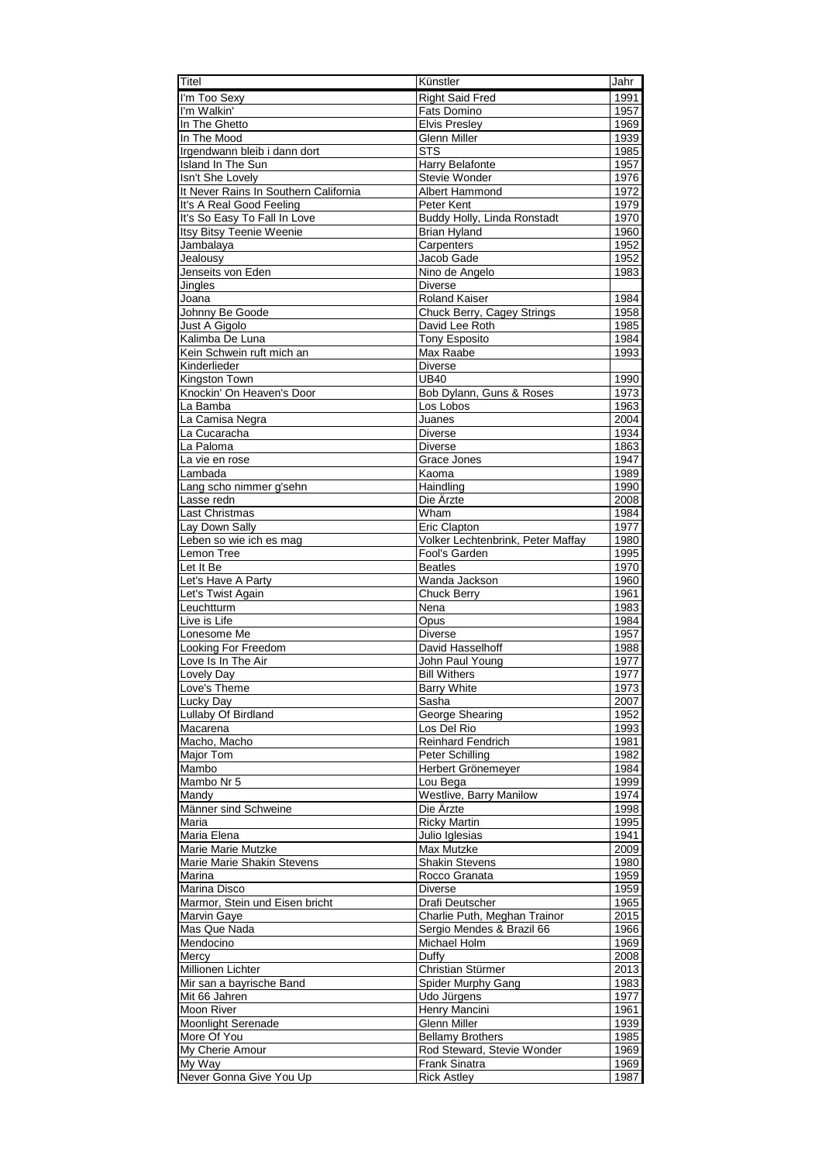| Titel                                            | Künstler                                | Jahr         |
|--------------------------------------------------|-----------------------------------------|--------------|
| I'm Too Sexy                                     | <b>Right Said Fred</b>                  | 1991         |
| I'm Walkin'                                      | Fats Domino                             | 1957         |
| In The Ghetto                                    | <b>Elvis Presley</b>                    | 1969         |
| In The Mood<br>Irgendwann bleib i dann dort      | <b>Glenn Miller</b><br><b>STS</b>       | 1939<br>1985 |
| Island In The Sun                                | <b>Harry Belafonte</b>                  | 1957         |
| Isn't She Lovely                                 | Stevie Wonder                           | 1976         |
| It Never Rains In Southern California            | Albert Hammond                          | 1972         |
| It's A Real Good Feeling                         | Peter Kent                              | 1979         |
| It's So Easy To Fall In Love                     | Buddy Holly, Linda Ronstadt             | 1970         |
| Itsy Bitsy Teenie Weenie                         | <b>Brian Hyland</b>                     | 1960         |
| Jambalaya<br>Jealousy                            | Carpenters<br>Jacob Gade                | 1952<br>1952 |
| Jenseits von Eden                                | Nino de Angelo                          | 1983         |
| Jingles                                          | <b>Diverse</b>                          |              |
| Joana                                            | Roland Kaiser                           | 1984         |
| Johnny Be Goode                                  | Chuck Berry, Cagey Strings              | 1958         |
| Just A Gigolo                                    | David Lee Roth                          | 1985         |
| Kalimba De Luna                                  | <b>Tony Esposito</b>                    | 1984         |
| Kein Schwein ruft mich an                        | Max Raabe                               | 1993         |
| Kinderlieder                                     | <b>Diverse</b>                          |              |
| Kingston Town<br>Knockin' On Heaven's Door       | <b>UB40</b><br>Bob Dylann, Guns & Roses | 1990<br>1973 |
| La Bamba                                         | Los Lobos                               | 1963         |
| La Camisa Negra                                  | Juanes                                  | 2004         |
| La Cucaracha                                     | <b>Diverse</b>                          | 1934         |
| La Paloma                                        | <b>Diverse</b>                          | 1863         |
| La vie en rose                                   | Grace Jones                             | 1947         |
| Lambada                                          | Kaoma                                   | 1989         |
| Lang scho nimmer g'sehn                          | Haindling<br>Die Ärzte                  | 1990         |
| Lasse redn<br>Last Christmas                     | Wham                                    | 2008<br>1984 |
| Lay Down Sally                                   | Eric Clapton                            | 1977         |
| Leben so wie ich es mag                          | Volker Lechtenbrink, Peter Maffay       | 1980         |
| Lemon Tree                                       | Fool's Garden                           | 1995         |
| Let It Be                                        | <b>Beatles</b>                          | 1970         |
| Let's Have A Party                               | Wanda Jackson                           | 1960         |
| Let's Twist Again                                | <b>Chuck Berry</b>                      | 1961         |
| Leuchtturm                                       | Nena                                    | 1983         |
| Live is Life<br>Lonesome Me                      | Opus<br><b>Diverse</b>                  | 1984<br>1957 |
| Looking For Freedom                              | David Hasselhoff                        | 1988         |
| Love Is In The Air                               | John Paul Young                         | 1977         |
| Lovely Day                                       | <b>Bill Withers</b>                     | 1977         |
| Love's Theme                                     | <b>Barry White</b>                      | 1973         |
| Lucky Day                                        | Sasha                                   | 2007         |
| Lullaby Of Birdland                              | George Shearing                         | 1952         |
| Macarena<br>Macho, Macho                         | Los Del Rio<br>Reinhard Fendrich        | 1993<br>1981 |
| <b>Major Tom</b>                                 | Peter Schilling                         | 1982         |
| Mambo                                            | Herbert Grönemeyer                      | 1984         |
| Mambo Nr 5                                       | Lou Bega                                | 1999         |
| Mandy                                            | Westlive, Barry Manilow                 | 1974         |
| Männer sind Schweine                             | Die Ärzte                               | 1998         |
| Maria                                            | <b>Ricky Martin</b>                     | 1995         |
| Maria Elena                                      | Julio Iglesias                          | 1941         |
| Marie Marie Mutzke<br>Marie Marie Shakin Stevens | Max Mutzke                              | 2009         |
| Marina                                           | <b>Shakin Stevens</b><br>Rocco Granata  | 1980<br>1959 |
| Marina Disco                                     | Diverse                                 | 1959         |
| Marmor, Stein und Eisen bricht                   | Drafi Deutscher                         | 1965         |
| Marvin Gaye                                      | Charlie Puth, Meghan Trainor            | 2015         |
| Mas Que Nada                                     | Sergio Mendes & Brazil 66               | 1966         |
| Mendocino                                        | Michael Holm                            | 1969         |
| Mercy                                            | Duffy                                   | 2008         |
| Millionen Lichter                                | Christian Stürmer                       | 2013<br>1983 |
| Mir san a bayrische Band<br>Mit 66 Jahren        | Spider Murphy Gang<br>Udo Jürgens       | 1977         |
| Moon River                                       | Henry Mancini                           | 1961         |
| Moonlight Serenade                               | Glenn Miller                            | 1939         |
| More Of You                                      | <b>Bellamy Brothers</b>                 | 1985         |
| My Cherie Amour                                  | Rod Steward, Stevie Wonder              | 1969         |
| $\overline{My}$ Way                              | Frank Sinatra                           | 1969         |
| Never Gonna Give You Up                          | <b>Rick Astley</b>                      | 1987         |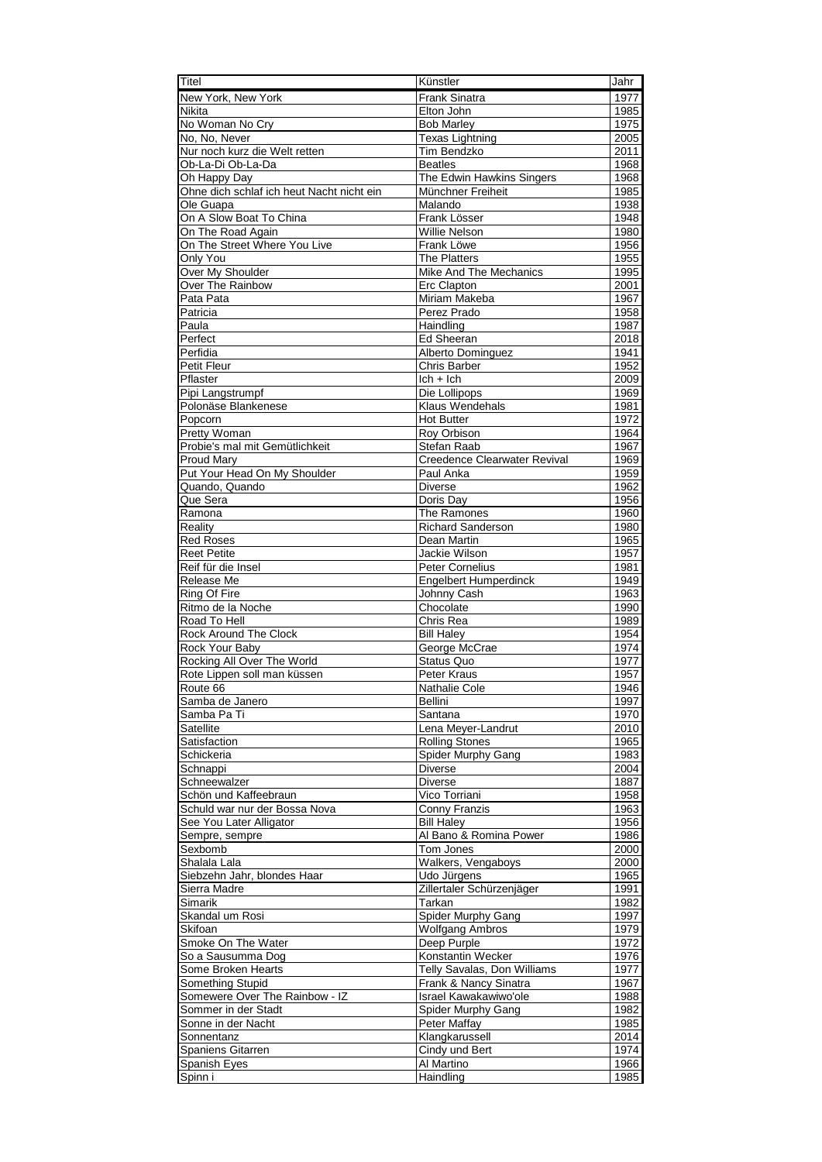| Titel                                        | Künstler                                         | Jahr         |
|----------------------------------------------|--------------------------------------------------|--------------|
| New York, New York                           | <b>Frank Sinatra</b>                             | 1977         |
| Nikita                                       | Elton John                                       | 1985         |
| No Woman No Cry<br>No, No, Never             | <b>Bob Marley</b><br><b>Texas Lightning</b>      | 1975<br>2005 |
| Nur noch kurz die Welt retten                | <b>Tim Bendzko</b>                               | 2011         |
| Ob-La-Di Ob-La-Da                            | <b>Beatles</b>                                   | 1968         |
| Oh Happy Day                                 | The Edwin Hawkins Singers                        | 1968         |
| Ohne dich schlaf ich heut Nacht nicht ein    | Münchner Freiheit                                | 1985         |
| Ole Guapa                                    | Malando                                          | 1938         |
| On A Slow Boat To China<br>On The Road Again | Frank Lösser<br>Willie Nelson                    | 1948<br>1980 |
| On The Street Where You Live                 | Frank Löwe                                       | 1956         |
| Only You                                     | <b>The Platters</b>                              | 1955         |
| Over My Shoulder                             | Mike And The Mechanics                           | 1995         |
| Over The Rainbow                             | Erc Clapton                                      | 2001         |
| Pata Pata<br>Patricia                        | Miriam Makeba                                    | 1967         |
| Paula                                        | Perez Prado<br>Haindling                         | 1958<br>1987 |
| Perfect                                      | <b>Ed Sheeran</b>                                | 2018         |
| Perfidia                                     | Alberto Dominguez                                | 1941         |
| Petit Fleur                                  | Chris Barber                                     | 1952         |
| Pflaster                                     | $lch + lch$                                      | 2009         |
| Pipi Langstrumpf                             | Die Lollipops<br><b>Klaus Wendehals</b>          | 1969         |
| Polonäse Blankenese<br>Popcorn               | <b>Hot Butter</b>                                | 1981<br>1972 |
| <b>Pretty Woman</b>                          | Roy Orbison                                      | 1964         |
| Probie's mal mit Gemütlichkeit               | <b>Stefan Raab</b>                               | 1967         |
| Proud Mary                                   | Creedence Clearwater Revival                     | 1969         |
| Put Your Head On My Shoulder                 | Paul Anka                                        | 1959         |
| Quando, Quando                               | Diverse                                          | 1962         |
| Que Sera<br>Ramona                           | Doris Day<br>The Ramones                         | 1956<br>1960 |
| Reality                                      | <b>Richard Sanderson</b>                         | 1980         |
| <b>Red Roses</b>                             | Dean Martin                                      | 1965         |
| <b>Reet Petite</b>                           | Jackie Wilson                                    | 1957         |
| Reif für die Insel                           | Peter Cornelius                                  | 1981         |
| Release Me                                   | <b>Engelbert Humperdinck</b>                     | 1949         |
| Ring Of Fire<br>Ritmo de la Noche            | Johnny Cash<br>Chocolate                         | 1963<br>1990 |
| Road To Hell                                 | Chris Rea                                        | 1989         |
| <b>Rock Around The Clock</b>                 | <b>Bill Haley</b>                                | 1954         |
| Rock Your Baby                               | George McCrae                                    | 1974         |
| Rocking All Over The World                   | Status Quo                                       | 1977         |
| Rote Lippen soll man küssen                  | <b>Peter Kraus</b>                               | 1957         |
| Route 66<br>Samba de Janero                  | <b>Nathalie Cole</b><br>Bellini                  | 1946<br>1997 |
| Samba Pa Ti                                  | Santana                                          | 1970         |
| Satellite                                    | Lena Meyer-Landrut                               | 2010         |
| Satisfaction                                 | <b>Rolling Stones</b>                            | 1965         |
| Schickeria                                   | Spider Murphy Gang                               | 1983         |
| Schnappi                                     | <b>Diverse</b>                                   | 2004         |
| Schneewalzer<br>Schön und Kaffeebraun        | <b>Diverse</b><br>Vico Torriani                  | 1887<br>1958 |
| Schuld war nur der Bossa Nova                | Conny Franzis                                    | 1963         |
| See You Later Alligator                      | <b>Bill Haley</b>                                | 1956         |
| Sempre, sempre                               | Al Bano & Romina Power                           | 1986         |
| Sexbomb                                      | Tom Jones                                        | 2000         |
| Shalala Lala                                 | Walkers, Vengaboys                               | 2000         |
| Siebzehn Jahr, blondes Haar<br>Sierra Madre  | Udo Jürgens<br>Zillertaler Schürzenjäger         | 1965<br>1991 |
| Simarik                                      | Tarkan                                           | 1982         |
| Skandal um Rosi                              | Spider Murphy Gang                               | 1997         |
| <b>Skifoan</b>                               | <b>Wolfgang Ambros</b>                           | 1979         |
| Smoke On The Water                           | Deep Purple                                      | 1972         |
| So a Sausumma Dog<br>Some Broken Hearts      | Konstantin Wecker<br>Telly Savalas, Don Williams | 1976<br>1977 |
| Something Stupid                             | Frank & Nancy Sinatra                            | 1967         |
| Somewere Over The Rainbow - IZ               | Israel Kawakawiwo'ole                            | 1988         |
| Sommer in der Stadt                          | Spider Murphy Gang                               | 1982         |
| Sonne in der Nacht                           | Peter Maffay                                     | 1985         |
| Sonnentanz                                   | Klangkarussell                                   | 2014         |
| Spaniens Gitarren<br>Spanish Eyes            | Cindy und Bert<br>Al Martino                     | 1974<br>1966 |
| Spinn i                                      | Haindling                                        | 1985         |
|                                              |                                                  |              |